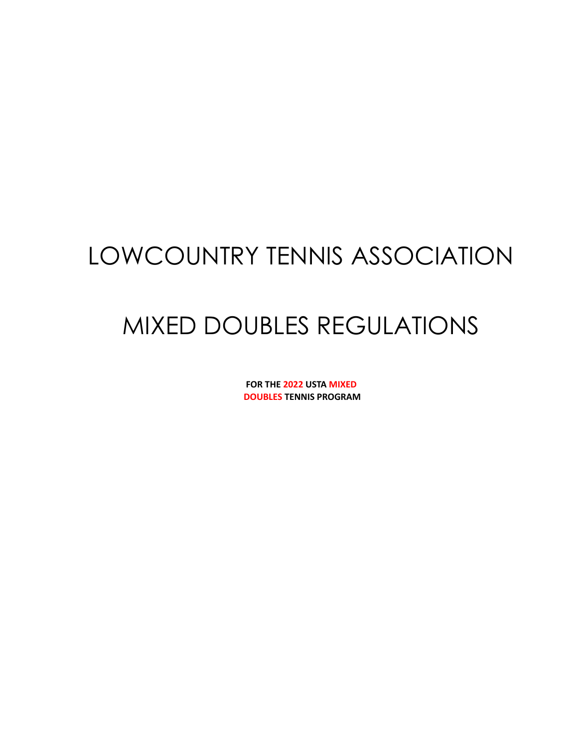# LOWCOUNTRY TENNIS ASSOCIATION

# MIXED DOUBLES REGULATIONS

**FOR THE 2022 USTA MIXED DOUBLES TENNIS PROGRAM**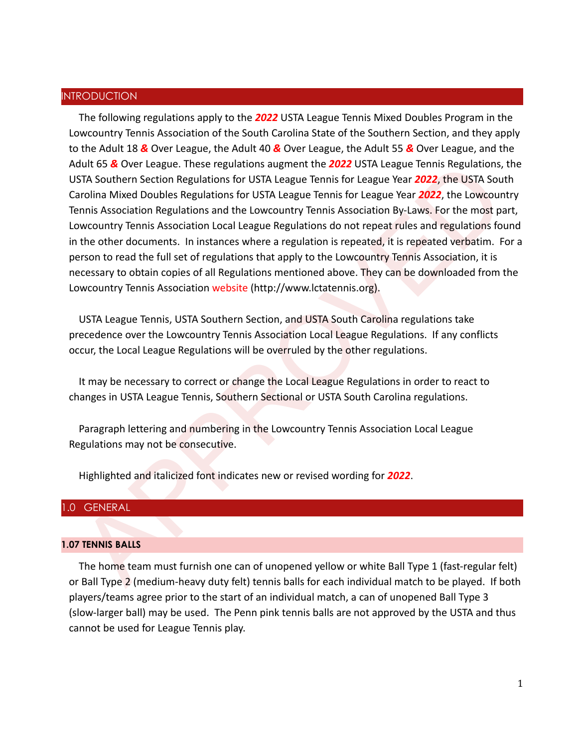## INTRODUCTION

dult 65 & Over League. These regulations augment the 2022 USTA League Tennis Regulations, the USTA Chapter Theories and STA Southern Settion Regulations for USTA League Tennis for League Year 2022, the USTA South avoids Mi The following regulations apply to the *2022* USTA League Tennis Mixed Doubles Program in the Lowcountry Tennis Association of the South Carolina State of the Southern Section, and they apply to the Adult 18 *&* Over League, the Adult 40 *&* Over League, the Adult 55 *&* Over League, and the Adult 65 *&* Over League. These regulations augment the *2022* USTA League Tennis Regulations, the USTA Southern Section Regulations for USTA League Tennis for League Year *2022*, the USTA South Carolina Mixed Doubles Regulations for USTA League Tennis for League Year *2022*, the Lowcountry Tennis Association Regulations and the Lowcountry Tennis Association By-Laws. For the most part, Lowcountry Tennis Association Local League Regulations do not repeat rules and regulations found in the other documents. In instances where a regulation is repeated, it is repeated verbatim. For a person to read the full set of regulations that apply to the Lowcountry Tennis Association, it is necessary to obtain copies of all Regulations mentioned above. They can be downloaded from the Lowcountry Tennis Association website (http://www.lctatennis.org).

USTA League Tennis, USTA Southern Section, and USTA South Carolina regulations take precedence over the Lowcountry Tennis Association Local League Regulations. If any conflicts occur, the Local League Regulations will be overruled by the other regulations.

It may be necessary to correct or change the Local League Regulations in order to react to changes in USTA League Tennis, Southern Sectional or USTA South Carolina regulations.

Paragraph lettering and numbering in the Lowcountry Tennis Association Local League Regulations may not be consecutive.

Highlighted and italicized font indicates new or revised wording for *2022*.

## 1.0 GENERAL

#### **1.07 TENNIS BALLS**

The home team must furnish one can of unopened yellow or white Ball Type 1 (fast-regular felt) or Ball Type 2 (medium-heavy duty felt) tennis balls for each individual match to be played. If both players/teams agree prior to the start of an individual match, a can of unopened Ball Type 3 (slow-larger ball) may be used. The Penn pink tennis balls are not approved by the USTA and thus cannot be used for League Tennis play.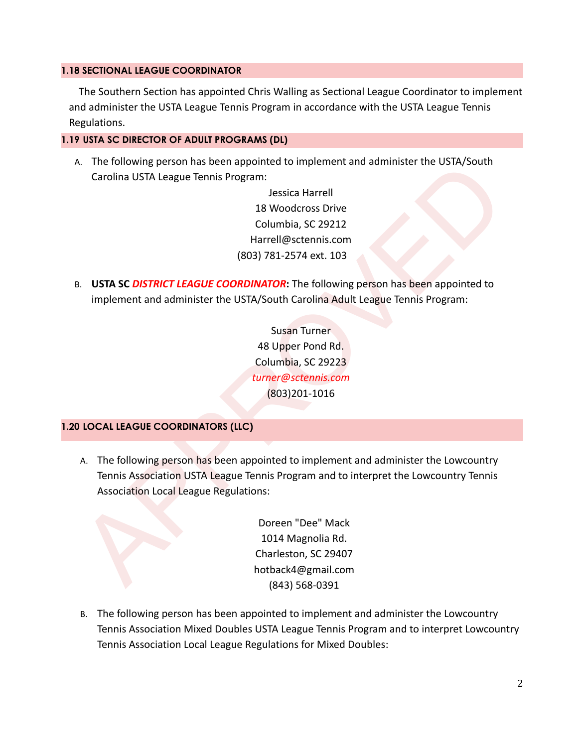## **1.18 SECTIONAL LEAGUE COORDINATOR**

The Southern Section has appointed Chris Walling as Sectional League Coordinator to implement and administer the USTA League Tennis Program in accordance with the USTA League Tennis Regulations.

# **1.19 USTA SC DIRECTOR OF ADULT PROGRAMS (DL)**

A. The following person has been appointed to implement and administer the USTA/South Carolina USTA League Tennis Program:

> Jessica Harrell 18 Woodcross Drive Columbia, SC 29212 Harrell@sctennis.com (803) 781-2574 ext. 103

B. **USTA SC** *DISTRICT LEAGUE COORDINATOR***:** The following person has been appointed to implement and administer the USTA/South Carolina Adult League Tennis Program:

> Susan Turner 48 Upper Pond Rd. Columbia, SC 29223 *turner@sctennis.com* (803)201-1016

# **1.20 LOCAL LEAGUE COORDINATORS (LLC)**

s. The following person has been appointed to implement and administer the USTA Longue Tennis Program:<br>
29 Noodcross Drive<br>
20 November 20 No.<br>
29 November 20 November 20 November 20 November 20 November 20 November 20 Nov A. The following person has been appointed to implement and administer the Lowcountry Tennis Association USTA League Tennis Program and to interpret the Lowcountry Tennis Association Local League Regulations:

Doreen "Dee" Mack 1014 Magnolia Rd. Charleston, SC 29407 hotback4@gmail.com (843) 568-0391

B. The following person has been appointed to implement and administer the Lowcountry Tennis Association Mixed Doubles USTA League Tennis Program and to interpret Lowcountry Tennis Association Local League Regulations for Mixed Doubles: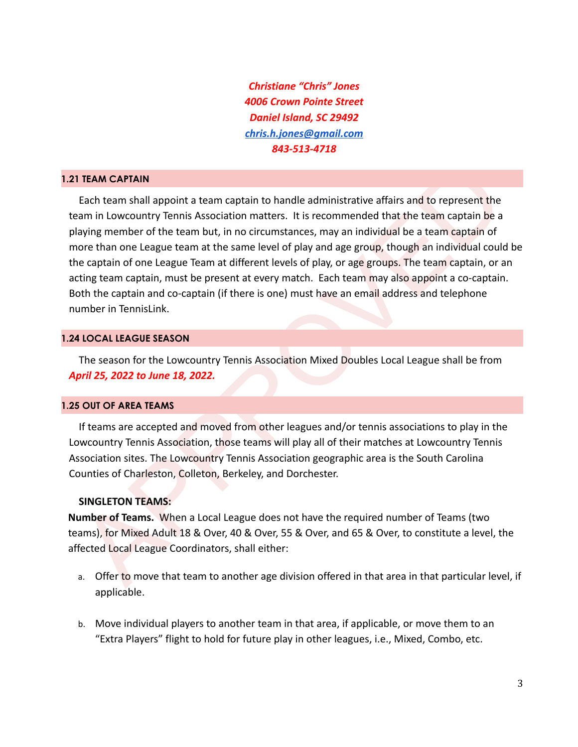*Christiane "Chris" Jones 4006 Crown Pointe Street Daniel Island, SC 29492 [chris.h.jones@gmail.com](mailto:chris.h.jones@gmail.com) 843-513-4718*

#### **1.21 TEAM CAPTAIN**

I TEAM CAPTAIN<br>
Each team shall appoint a team captain to handle administrative affairs and to represent the<br>
Each team shall appoint a team but, in no circumstances, may an individual text team captain be a<br>
shaying membe Each team shall appoint a team captain to handle administrative affairs and to represent the team in Lowcountry Tennis Association matters. It is recommended that the team captain be a playing member of the team but, in no circumstances, may an individual be a team captain of more than one League team at the same level of play and age group, though an individual could be the captain of one League Team at different levels of play, or age groups. The team captain, or an acting team captain, must be present at every match. Each team may also appoint a co-captain. Both the captain and co-captain (if there is one) must have an email address and telephone number in TennisLink.

#### **1.24 LOCAL LEAGUE SEASON**

The season for the Lowcountry Tennis Association Mixed Doubles Local League shall be from *April 25, 2022 to June 18, 2022.*

## **1.25 OUT OF AREA TEAMS**

If teams are accepted and moved from other leagues and/or tennis associations to play in the Lowcountry Tennis Association, those teams will play all of their matches at Lowcountry Tennis Association sites. The Lowcountry Tennis Association geographic area is the South Carolina Counties of Charleston, Colleton, Berkeley, and Dorchester.

#### **SINGLETON TEAMS:**

**Number of Teams.** When a Local League does not have the required number of Teams (two teams), for Mixed Adult 18 & Over, 40 & Over, 55 & Over, and 65 & Over, to constitute a level, the affected Local League Coordinators, shall either:

- a. Offer to move that team to another age division offered in that area in that particular level, if applicable.
- b. Move individual players to another team in that area, if applicable, or move them to an "Extra Players" flight to hold for future play in other leagues, i.e., Mixed, Combo, etc.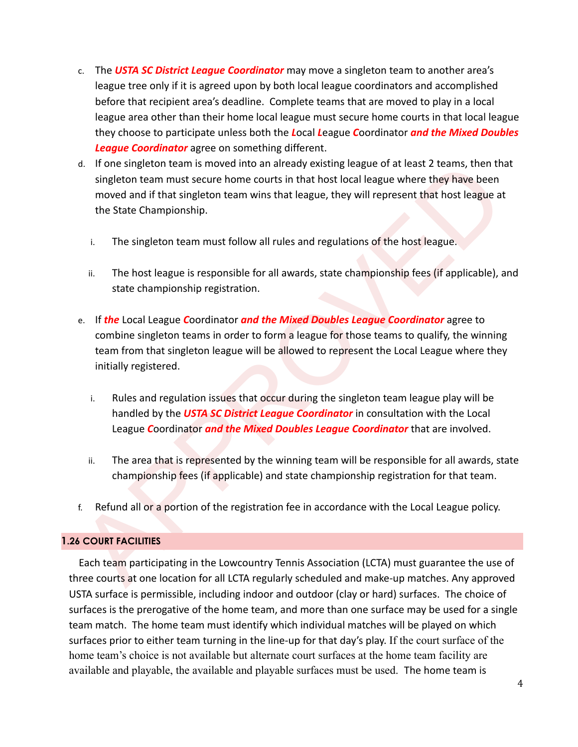- c. The *USTA SC District League Coordinator* may move a singleton team to another area's league tree only if it is agreed upon by both local league coordinators and accomplished before that recipient area's deadline. Complete teams that are moved to play in a local league area other than their home local league must secure home courts in that local league they choose to participate unless both the *L*ocal *L*eague *C*oordinator *and the Mixed Doubles League Coordinator* agree on something different.
- d. If one singleton team is moved into an already existing league of at least 2 teams, then that singleton team must secure home courts in that host local league where they have been moved and if that singleton team wins that league, they will represent that host league at the State Championship.
	- i. The singleton team must follow all rules and regulations of the host league.
	- ii. The host league is responsible for all awards, state championship fees (if applicable), and state championship registration.
- d. If one singleton team is moved into an already existing league of at least 2 teams, then the singleton team must secure home courts in that host local league where they have been<br>moved and if that singleton team wins th e. If *the* Local League *C*oordinator *and the Mixed Doubles League Coordinator* agree to combine singleton teams in order to form a league for those teams to qualify, the winning team from that singleton league will be allowed to represent the Local League where they initially registered.
	- i. Rules and regulation issues that occur during the singleton team league play will be handled by the *USTA SC District League Coordinator* in consultation with the Local League *C*oordinator *and the Mixed Doubles League Coordinator* that are involved.
	- ii. The area that is represented by the winning team will be responsible for all awards, state championship fees (if applicable) and state championship registration for that team.
- f. Refund all or a portion of the registration fee in accordance with the Local League policy.

# **1.26 COURT FACILITIES**

Each team participating in the Lowcountry Tennis Association (LCTA) must guarantee the use of three courts at one location for all LCTA regularly scheduled and make-up matches. Any approved USTA surface is permissible, including indoor and outdoor (clay or hard) surfaces. The choice of surfaces is the prerogative of the home team, and more than one surface may be used for a single team match. The home team must identify which individual matches will be played on which surfaces prior to either team turning in the line-up for that day's play. If the court surface of the home team's choice is not available but alternate court surfaces at the home team facility are available and playable, the available and playable surfaces must be used. The home team is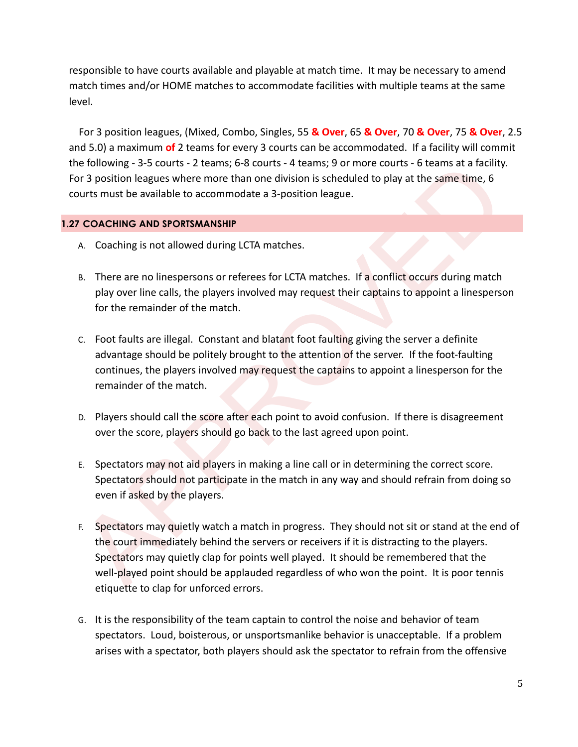responsible to have courts available and playable at match time. It may be necessary to amend match times and/or HOME matches to accommodate facilities with multiple teams at the same level.

For 3 position leagues, (Mixed, Combo, Singles, 55 **& Over**, 65 **& Over**, 70 **& Over**, 75 **& Over**, 2.5 and 5.0) a maximum **of** 2 teams for every 3 courts can be accommodated. If a facility will commit the following - 3-5 courts - 2 teams; 6-8 courts - 4 teams; 9 or more courts - 6 teams at a facility. For 3 position leagues where more than one division is scheduled to play at the same time, 6 courts must be available to accommodate a 3-position league.

# **1.27 COACHING AND SPORTSMANSHIP**

- A. Coaching is not allowed during LCTA matches.
- B. There are no linespersons or referees for LCTA matches. If a conflict occurs during match play over line calls, the players involved may request their captains to appoint a linesperson for the remainder of the match.
- C. Foot faults are illegal. Constant and blatant foot faulting giving the server a definite advantage should be politely brought to the attention of the server. If the foot-faulting continues, the players involved may request the captains to appoint a linesperson for the remainder of the match.
- D. Players should call the score after each point to avoid confusion. If there is disagreement over the score, players should go back to the last agreed upon point.
- E. Spectators may not aid players in making a line call or in determining the correct score. Spectators should not participate in the match in any way and should refrain from doing so even if asked by the players.
- er following 3.5 courts 2 teams; it Securits 4 teams; y or more courts b teams at a faculty<br>or 3 position leagues where more than one division is scheduled to play at the same time, 6<br>or 3 position leagues where mo F. Spectators may quietly watch a match in progress. They should not sit or stand at the end of the court immediately behind the servers or receivers if it is distracting to the players. Spectators may quietly clap for points well played. It should be remembered that the well-played point should be applauded regardless of who won the point. It is poor tennis etiquette to clap for unforced errors.
- G. It is the responsibility of the team captain to control the noise and behavior of team spectators. Loud, boisterous, or unsportsmanlike behavior is unacceptable. If a problem arises with a spectator, both players should ask the spectator to refrain from the offensive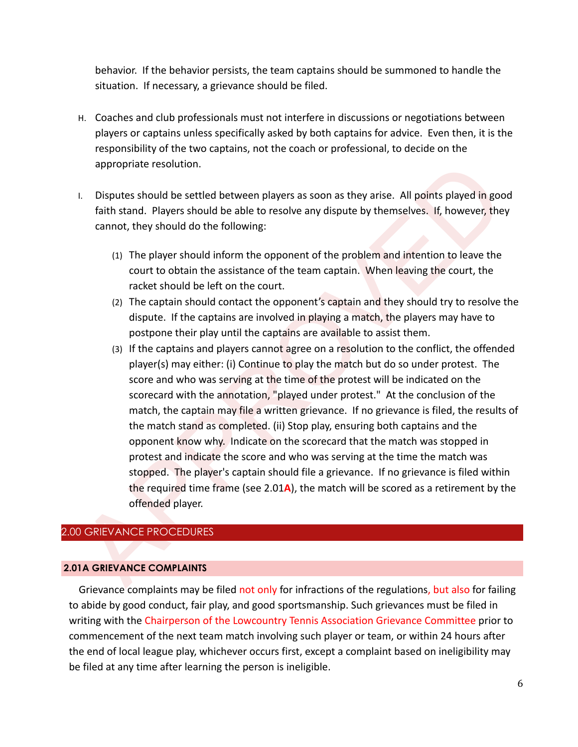behavior. If the behavior persists, the team captains should be summoned to handle the situation. If necessary, a grievance should be filed.

- H. Coaches and club professionals must not interfere in discussions or negotiations between players or captains unless specifically asked by both captains for advice. Even then, it is the responsibility of the two captains, not the coach or professional, to decide on the appropriate resolution.
- I. Disputes should be settled between players as soon as they arise. All points played in good faith stand. Players should be able to resolve any dispute by themselves. If, however, they cannot, they should do the following:
	- (1) The player should inform the opponent of the problem and intention to leave the court to obtain the assistance of the team captain. When leaving the court, the racket should be left on the court.
	- (2) The captain should contact the opponent's captain and they should try to resolve the dispute. If the captains are involved in playing a match, the players may have to postpone their play until the captains are available to assist them.
- appropriate resolution.<br>
1. Disputes should be settled between players as soon as they arise. All points played in good<br>
frint stand. Players should be able to resolve any dispute by themselves. If, however, they<br>
cannot, (3) If the captains and players cannot agree on a resolution to the conflict, the offended player(s) may either: (i) Continue to play the match but do so under protest. The score and who was serving at the time of the protest will be indicated on the scorecard with the annotation, "played under protest." At the conclusion of the match, the captain may file a written grievance. If no grievance is filed, the results of the match stand as completed. (ii) Stop play, ensuring both captains and the opponent know why. Indicate on the scorecard that the match was stopped in protest and indicate the score and who was serving at the time the match was stopped. The player's captain should file a grievance. If no grievance is filed within the required time frame (see 2.01**A**), the match will be scored as a retirement by the offended player.

# 2.00 GRIEVANCE PROCEDURES

#### **2.01A GRIEVANCE COMPLAINTS**

Grievance complaints may be filed not only for infractions of the regulations, but also for failing to abide by good conduct, fair play, and good sportsmanship. Such grievances must be filed in writing with the Chairperson of the Lowcountry Tennis Association Grievance Committee prior to commencement of the next team match involving such player or team, or within 24 hours after the end of local league play, whichever occurs first, except a complaint based on ineligibility may be filed at any time after learning the person is ineligible.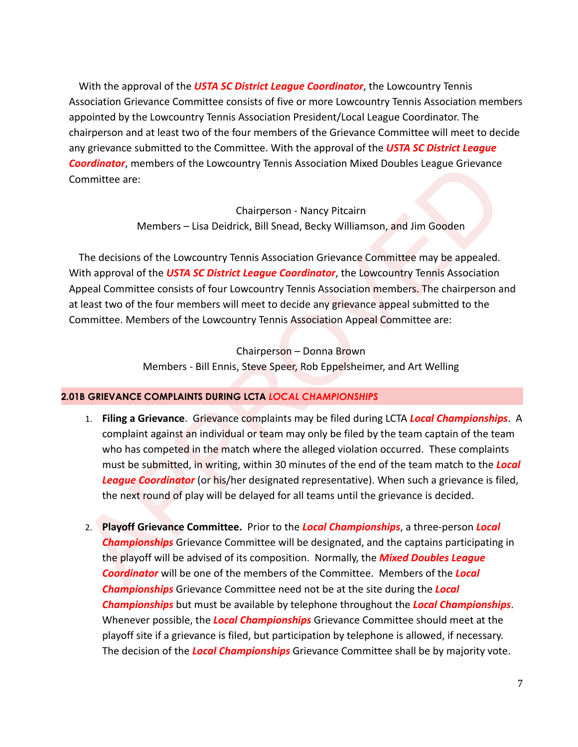With the approval of the *USTA SC District League Coordinator*, the Lowcountry Tennis Association Grievance Committee consists of five or more Lowcountry Tennis Association members appointed by the Lowcountry Tennis Association President/Local League Coordinator. The chairperson and at least two of the four members of the Grievance Committee will meet to decide any grievance submitted to the Committee. With the approval of the *USTA SC District League Coordinator*, members of the Lowcountry Tennis Association Mixed Doubles League Grievance Committee are:

> Chairperson - Nancy Pitcairn Members – Lisa Deidrick, Bill Snead, Becky Williamson, and Jim Gooden

The decisions of the Lowcountry Tennis Association Grievance Committee may be appealed. With approval of the *USTA SC District League Coordinator*, the Lowcountry Tennis Association Appeal Committee consists of four Lowcountry Tennis Association members. The chairperson and at least two of the four members will meet to decide any grievance appeal submitted to the Committee. Members of the Lowcountry Tennis Association Appeal Committee are:

> Chairperson – Donna Brown Members - Bill Ennis, Steve Speer, Rob Eppelsheimer, and Art Welling

# **2.01B GRIEVANCE COMPLAINTS DURING LCTA** *LOCAL CHAMPIONSHIPS*

- **Chairmannises of the Lowcountry Tennis Association Mixed Doubles League Grievance<br>
Chairperson Nancy Pitcairn<br>
Members Lisa Deldrick, Bill Snead, Becky Williamson, and Jim Gooden<br>
The decisions of the Lowcountry Tenni** 1. **Filing a Grievance**. Grievance complaints may be filed during LCTA *Local Championships*. A complaint against an individual or team may only be filed by the team captain of the team who has competed in the match where the alleged violation occurred. These complaints must be submitted, in writing, within 30 minutes of the end of the team match to the *Local League Coordinator* (or his/her designated representative). When such a grievance is filed, the next round of play will be delayed for all teams until the grievance is decided.
	- 2. **Playoff Grievance Committee.** Prior to the *Local Championships*, a three-person *Local Championships* Grievance Committee will be designated, and the captains participating in the playoff will be advised of its composition. Normally, the *Mixed Doubles League Coordinator* will be one of the members of the Committee. Members of the *Local Championships* Grievance Committee need not be at the site during the *Local Championships* but must be available by telephone throughout the *Local Championships*. Whenever possible, the *Local Championships* Grievance Committee should meet at the playoff site if a grievance is filed, but participation by telephone is allowed, if necessary. The decision of the *Local Championships* Grievance Committee shall be by majority vote.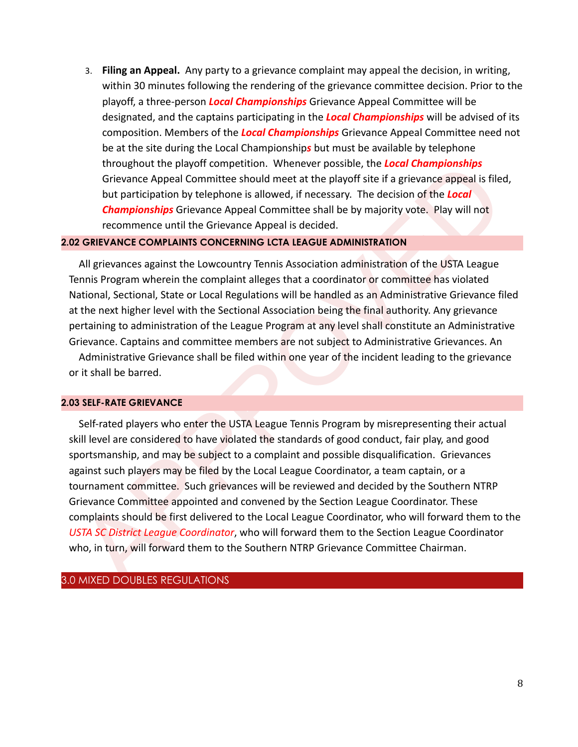3. **Filing an Appeal.** Any party to a grievance complaint may appeal the decision, in writing, within 30 minutes following the rendering of the grievance committee decision. Prior to the playoff, a three-person *Local Championships* Grievance Appeal Committee will be designated, and the captains participating in the *Local Championships* will be advised of its composition. Members of the *Local Championships* Grievance Appeal Committee need not be at the site during the Local Championship*s* but must be available by telephone throughout the playoff competition. Whenever possible, the *Local Championships* Grievance Appeal Committee should meet at the playoff site if a grievance appeal is filed, but participation by telephone is allowed, if necessary. The decision of the *Local Championships* Grievance Appeal Committee shall be by majority vote. Play will not recommence until the Grievance Appeal is decided.

#### **2.02 GRIEVANCE COMPLAINTS CONCERNING LCTA LEAGUE ADMINISTRATION**

All grievances against the Lowcountry Tennis Association administration of the USTA League Tennis Program wherein the complaint alleges that a coordinator or committee has violated National, Sectional, State or Local Regulations will be handled as an Administrative Grievance filed at the next higher level with the Sectional Association being the final authority. Any grievance pertaining to administration of the League Program at any level shall constitute an Administrative Grievance. Captains and committee members are not subject to Administrative Grievances. An Administrative Grievance shall be filed within one year of the incident leading to the grievance or it shall be barred.

#### **2.03 SELF-RATE GRIEVANCE**

throughout the playoff completition. Whenever possible, the **Locaric Championships**<br>Grievance Appeal Committee shoud meet at the playoff site if a grievance appeal is filed,<br>but participation by telephone is allowed, if ne Self-rated players who enter the USTA League Tennis Program by misrepresenting their actual skill level are considered to have violated the standards of good conduct, fair play, and good sportsmanship, and may be subject to a complaint and possible disqualification. Grievances against such players may be filed by the Local League Coordinator, a team captain, or a tournament committee. Such grievances will be reviewed and decided by the Southern NTRP Grievance Committee appointed and convened by the Section League Coordinator. These complaints should be first delivered to the Local League Coordinator, who will forward them to the *USTA SC District League Coordinator*, who will forward them to the Section League Coordinator who, in turn, will forward them to the Southern NTRP Grievance Committee Chairman.

## 3.0 MIXED DOUBLES REGULATIONS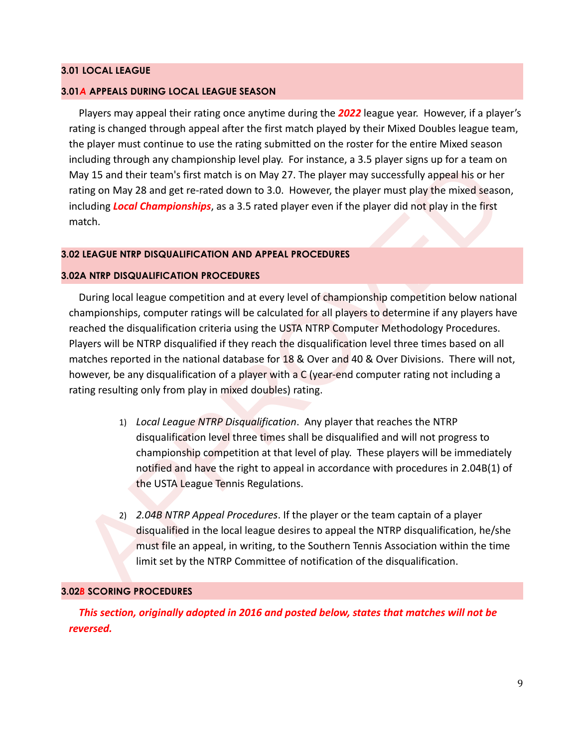#### **3.01 LOCAL LEAGUE**

#### **3.01***A* **APPEALS DURING LOCAL LEAGUE SEASON**

Players may appeal their rating once anytime during the *2022* league year. However, if a player's rating is changed through appeal after the first match played by their Mixed Doubles league team, the player must continue to use the rating submitted on the roster for the entire Mixed season including through any championship level play. For instance, a 3.5 player signs up for a team on May 15 and their team's first match is on May 27. The player may successfully appeal his or her rating on May 28 and get re-rated down to 3.0. However, the player must play the mixed season, including *Local Championships*, as a 3.5 rated player even if the player did not play in the first match.

## **3.02 LEAGUE NTRP DISQUALIFICATION AND APPEAL PROCEDURES**

#### **3.02A NTRP DISQUALIFICATION PROCEDURES**

noting introduce and the brack of the player may successfully appeal brack and their team's first match is on May 27. The player may successfully appeal his or her<br>thing on May 28 and get re-rated down to 3.0. However, the During local league competition and at every level of championship competition below national championships, computer ratings will be calculated for all players to determine if any players have reached the disqualification criteria using the USTA NTRP Computer Methodology Procedures. Players will be NTRP disqualified if they reach the disqualification level three times based on all matches reported in the national database for 18 & Over and 40 & Over Divisions. There will not, however, be any disqualification of a player with a C (year-end computer rating not including a rating resulting only from play in mixed doubles) rating.

- 1) *Local League NTRP Disqualification*. Any player that reaches the NTRP disqualification level three times shall be disqualified and will not progress to championship competition at that level of play. These players will be immediately notified and have the right to appeal in accordance with procedures in 2.04B(1) of the USTA League Tennis Regulations.
- 2) *2.04B NTRP Appeal Procedures*. If the player or the team captain of a player disqualified in the local league desires to appeal the NTRP disqualification, he/she must file an appeal, in writing, to the Southern Tennis Association within the time limit set by the NTRP Committee of notification of the disqualification.

#### **3.02***B* **SCORING PROCEDURES**

*This section, originally adopted in 2016 and posted below, states that matches will not be reversed.*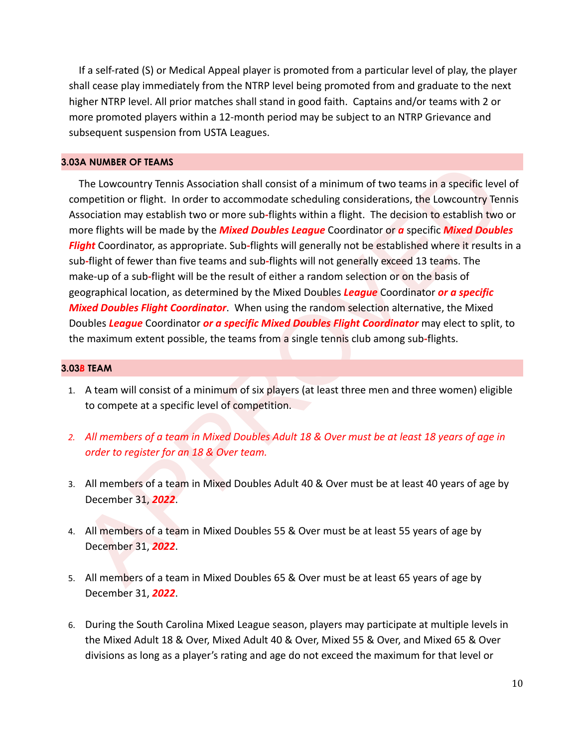If a self-rated (S) or Medical Appeal player is promoted from a particular level of play, the player shall cease play immediately from the NTRP level being promoted from and graduate to the next higher NTRP level. All prior matches shall stand in good faith. Captains and/or teams with 2 or more promoted players within a 12-month period may be subject to an NTRP Grievance and subsequent suspension from USTA Leagues.

#### **3.03A NUMBER OF TEAMS**

SA NUMBER OF IEANS<br>
The Lowcountry Tennis Association shall consist of a minimum of two teams in a specific level of<br>
The Lowcountry Tennis Association shall consist of a minimum of two teams in a specific level of<br>
sysoci The Lowcountry Tennis Association shall consist of a minimum of two teams in a specific level of competition or flight. In order to accommodate scheduling considerations, the Lowcountry Tennis Association may establish two or more sub*-*flights within a flight. The decision to establish two or more flights will be made by the *Mixed Doubles League* Coordinator or *a* specific *Mixed Doubles Flight* Coordinator, as appropriate. Sub*-*flights will generally not be established where it results in a sub*-*flight of fewer than five teams and sub*-*flights will not generally exceed 13 teams. The make-up of a sub*-*flight will be the result of either a random selection or on the basis of geographical location, as determined by the Mixed Doubles *League* Coordinator *or a specific Mixed Doubles Flight Coordinator*. When using the random selection alternative, the Mixed Doubles *League* Coordinator *or a specific Mixed Doubles Flight Coordinator* may elect to split, to the maximum extent possible, the teams from a single tennis club among sub*-*flights.

#### **3.03***B* **TEAM**

- 1. A team will consist of a minimum of six players (at least three men and three women) eligible to compete at a specific level of competition.
- *2. All members of a team in Mixed Doubles Adult 18 & Over must be at least 18 years of age in order to register for an 18 & Over team.*
- 3. All members of a team in Mixed Doubles Adult 40 & Over must be at least 40 years of age by December 31, *2022*.
- 4. All members of a team in Mixed Doubles 55 & Over must be at least 55 years of age by December 31, *2022*.
- 5. All members of a team in Mixed Doubles 65 & Over must be at least 65 years of age by December 31, *2022*.
- 6. During the South Carolina Mixed League season, players may participate at multiple levels in the Mixed Adult 18 & Over, Mixed Adult 40 & Over, Mixed 55 & Over, and Mixed 65 & Over divisions as long as a player's rating and age do not exceed the maximum for that level or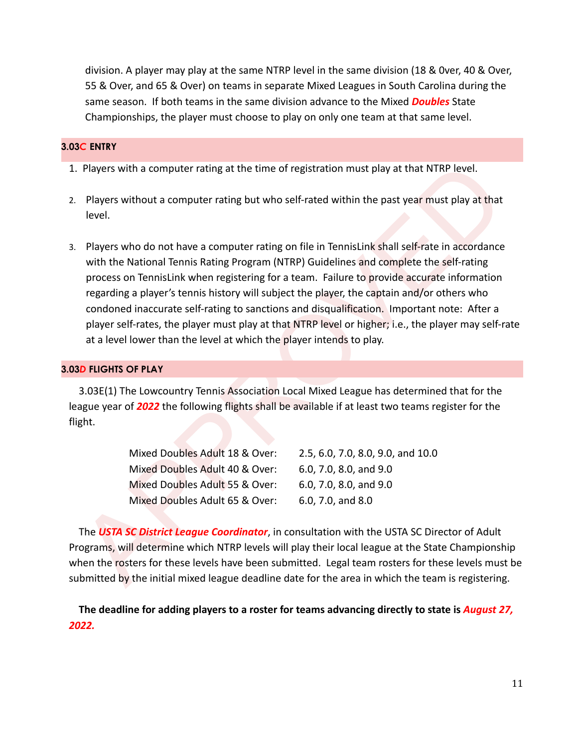division. A player may play at the same NTRP level in the same division (18 & 0ver, 40 & Over, 55 & Over, and 65 & Over) on teams in separate Mixed Leagues in South Carolina during the same season. If both teams in the same division advance to the Mixed *Doubles* State Championships, the player must choose to play on only one team at that same level.

## **3.03***C* **ENTRY**

- 1. Players with a computer rating at the time of registration must play at that NTRP level.
- 2. Players without a computer rating but who self-rated within the past year must play at that level.
- Players with a computer rating at the time of registration must play at that NTRP level.<br>
Players without a computer rating but who self-rated within the past year must play at that<br>
level.<br>
Players who do not have a comp 3. Players who do not have a computer rating on file in TennisLink shall self-rate in accordance with the National Tennis Rating Program (NTRP) Guidelines and complete the self-rating process on TennisLink when registering for a team. Failure to provide accurate information regarding a player's tennis history will subject the player, the captain and/or others who condoned inaccurate self-rating to sanctions and disqualification. Important note: After a player self-rates, the player must play at that NTRP level or higher; i.e., the player may self-rate at a level lower than the level at which the player intends to play.

## **3.03***D* **FLIGHTS OF PLAY**

3.03E(1) The Lowcountry Tennis Association Local Mixed League has determined that for the league year of *2022* the following flights shall be available if at least two teams register for the flight.

| Mixed Doubles Adult 18 & Over: | 2.5, 6.0, 7.0, 8.0, 9.0, and 10.0 |
|--------------------------------|-----------------------------------|
| Mixed Doubles Adult 40 & Over: | 6.0, 7.0, 8.0, and 9.0            |
| Mixed Doubles Adult 55 & Over: | 6.0, 7.0, 8.0, and 9.0            |
| Mixed Doubles Adult 65 & Over: | 6.0, 7.0, and 8.0                 |

The *USTA SC District League Coordinator*, in consultation with the USTA SC Director of Adult Programs, will determine which NTRP levels will play their local league at the State Championship when the rosters for these levels have been submitted. Legal team rosters for these levels must be submitted by the initial mixed league deadline date for the area in which the team is registering.

**The deadline for adding players to a roster for teams advancing directly to state is** *August 27, 2022.*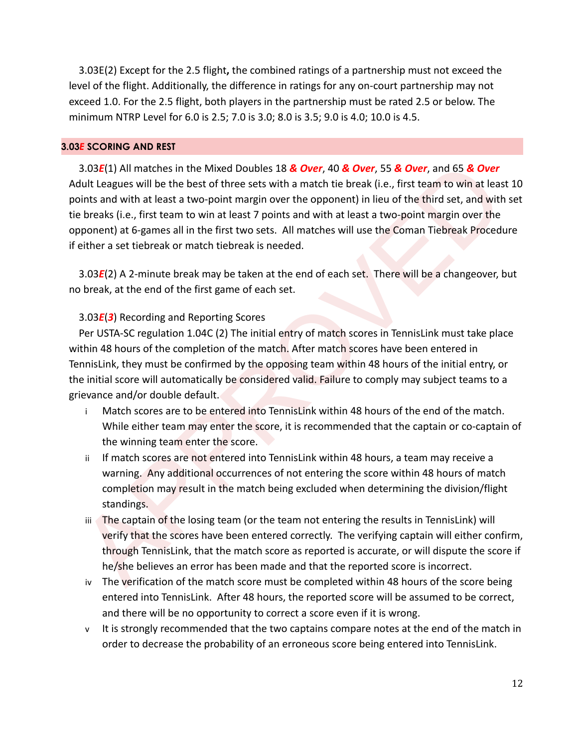3.03E(2) Except for the 2.5 flight**,** the combined ratings of a partnership must not exceed the level of the flight. Additionally, the difference in ratings for any on-court partnership may not exceed 1.0. For the 2.5 flight, both players in the partnership must be rated 2.5 or below. The minimum NTRP Level for 6.0 is 2.5; 7.0 is 3.0; 8.0 is 3.5; 9.0 is 4.0; 10.0 is 4.5.

#### **3.03***E* **SCORING AND REST**

3.03E(1) All matches in the Mixed Doubles 18 & Over, 40 & Over, 55 & Over, and 65 & Over<br>
dult Leagues will be the best of three sets with a match tie break (i.e., first team to win all easts at the<br>
dult the sets with a 3.03*E*(1) All matches in the Mixed Doubles 18 *& Over*, 40 *& Over*, 55 *& Over*, and 65 *& Over* Adult Leagues will be the best of three sets with a match tie break (i.e., first team to win at least 10 points and with at least a two-point margin over the opponent) in lieu of the third set, and with set tie breaks (i.e., first team to win at least 7 points and with at least a two-point margin over the opponent) at 6-games all in the first two sets. All matches will use the Coman Tiebreak Procedure if either a set tiebreak or match tiebreak is needed.

3.03*E*(2) A 2-minute break may be taken at the end of each set. There will be a changeover, but no break, at the end of the first game of each set.

## 3.03*E*(*3*) Recording and Reporting Scores

Per USTA-SC regulation 1.04C (2) The initial entry of match scores in TennisLink must take place within 48 hours of the completion of the match. After match scores have been entered in TennisLink, they must be confirmed by the opposing team within 48 hours of the initial entry, or the initial score will automatically be considered valid. Failure to comply may subject teams to a grievance and/or double default.

- i Match scores are to be entered into TennisLink within 48 hours of the end of the match. While either team may enter the score, it is recommended that the captain or co-captain of the winning team enter the score.
- ii If match scores are not entered into TennisLink within 48 hours, a team may receive a warning. Any additional occurrences of not entering the score within 48 hours of match completion may result in the match being excluded when determining the division/flight standings.
- iii The captain of the losing team (or the team not entering the results in TennisLink) will verify that the scores have been entered correctly. The verifying captain will either confirm, through TennisLink, that the match score as reported is accurate, or will dispute the score if he/she believes an error has been made and that the reported score is incorrect.
- iv The verification of the match score must be completed within 48 hours of the score being entered into TennisLink. After 48 hours, the reported score will be assumed to be correct, and there will be no opportunity to correct a score even if it is wrong.
- v It is strongly recommended that the two captains compare notes at the end of the match in order to decrease the probability of an erroneous score being entered into TennisLink.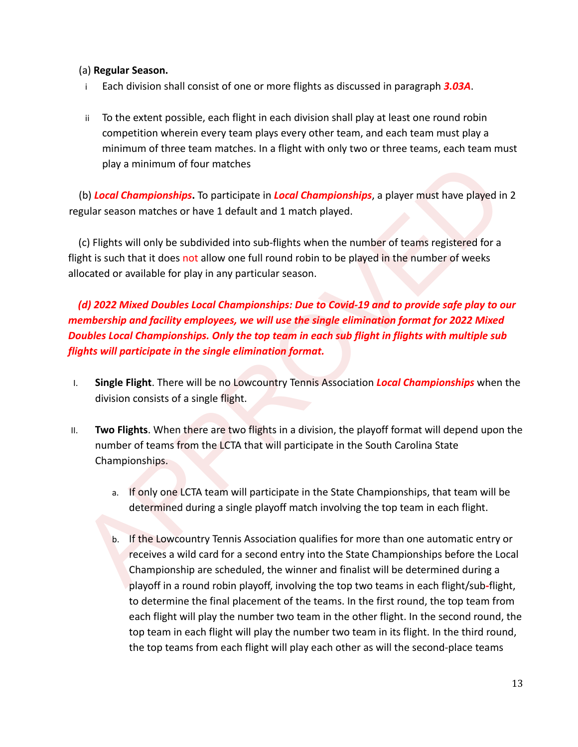# (a) **Regular Season.**

- i Each division shall consist of one or more flights as discussed in paragraph *3.03A*.
- ii To the extent possible, each flight in each division shall play at least one round robin competition wherein every team plays every other team, and each team must play a minimum of three team matches. In a flight with only two or three teams, each team must play a minimum of four matches

(b) *Local Championships***.** To participate in *Local Championships*, a player must have played in 2 regular season matches or have 1 default and 1 match played.

(c) Flights will only be subdivided into sub-flights when the number of teams registered for a flight is such that it does not allow one full round robin to be played in the number of weeks allocated or available for play in any particular season.

play a minimum of four matches<br>
(b) Local Championships. To participate in Local Championships, a player must have played in 2<br>
gular season matches or have 1 default and 1 match played.<br>
(c) Flights will only be subdivide *(d) 2022 Mixed Doubles Local Championships: Due to Covid-19 and to provide safe play to our membership and facility employees, we will use the single elimination format for 2022 Mixed Doubles Local Championships. Only the top team in each sub flight in flights with multiple sub flights will participate in the single elimination format.*

- I. **Single Flight**. There will be no Lowcountry Tennis Association *Local Championships* when the division consists of a single flight.
- II. **Two Flights**. When there are two flights in a division, the playoff format will depend upon the number of teams from the LCTA that will participate in the South Carolina State Championships.
	- a. If only one LCTA team will participate in the State Championships, that team will be determined during a single playoff match involving the top team in each flight.
	- b. If the Lowcountry Tennis Association qualifies for more than one automatic entry or receives a wild card for a second entry into the State Championships before the Local Championship are scheduled, the winner and finalist will be determined during a playoff in a round robin playoff, involving the top two teams in each flight/sub*-*flight, to determine the final placement of the teams. In the first round, the top team from each flight will play the number two team in the other flight. In the second round, the top team in each flight will play the number two team in its flight. In the third round, the top teams from each flight will play each other as will the second-place teams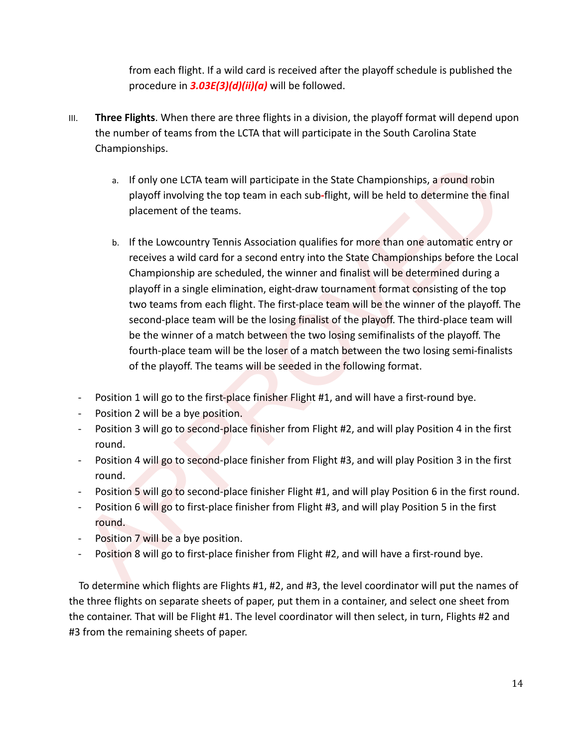from each flight. If a wild card is received after the playoff schedule is published the procedure in *3.03E(3)(d)(ii)(a)* will be followed.

- III. **Three Flights**. When there are three flights in a division, the playoff format will depend upon the number of teams from the LCTA that will participate in the South Carolina State Championships.
	- a. If only one LCTA team will participate in the State Championships, a round robin playoff involving the top team in each sub*-*flight, will be held to determine the final placement of the teams.
	- a. If only one LCTA team will participate in the State Championships, a round robin<br>playoff involving the top team in each sub-flight, will be held to determine the final<br>placement of the teams.<br>b. If the Lowcountry Tenni b. If the Lowcountry Tennis Association qualifies for more than one automatic entry or receives a wild card for a second entry into the State Championships before the Local Championship are scheduled, the winner and finalist will be determined during a playoff in a single elimination, eight-draw tournament format consisting of the top two teams from each flight. The first-place team will be the winner of the playoff. The second-place team will be the losing finalist of the playoff. The third-place team will be the winner of a match between the two losing semifinalists of the playoff. The fourth-place team will be the loser of a match between the two losing semi-finalists of the playoff. The teams will be seeded in the following format.
	- Position 1 will go to the first-place finisher Flight #1, and will have a first-round bye.
	- Position 2 will be a bye position.
	- Position 3 will go to second-place finisher from Flight #2, and will play Position 4 in the first round.
	- Position 4 will go to second-place finisher from Flight #3, and will play Position 3 in the first round.
	- Position 5 will go to second-place finisher Flight #1, and will play Position 6 in the first round.
	- Position 6 will go to first-place finisher from Flight #3, and will play Position 5 in the first round.
	- Position 7 will be a bye position.
	- Position 8 will go to first-place finisher from Flight #2, and will have a first-round bye.

To determine which flights are Flights #1, #2, and #3, the level coordinator will put the names of the three flights on separate sheets of paper, put them in a container, and select one sheet from the container. That will be Flight #1. The level coordinator will then select, in turn, Flights #2 and #3 from the remaining sheets of paper.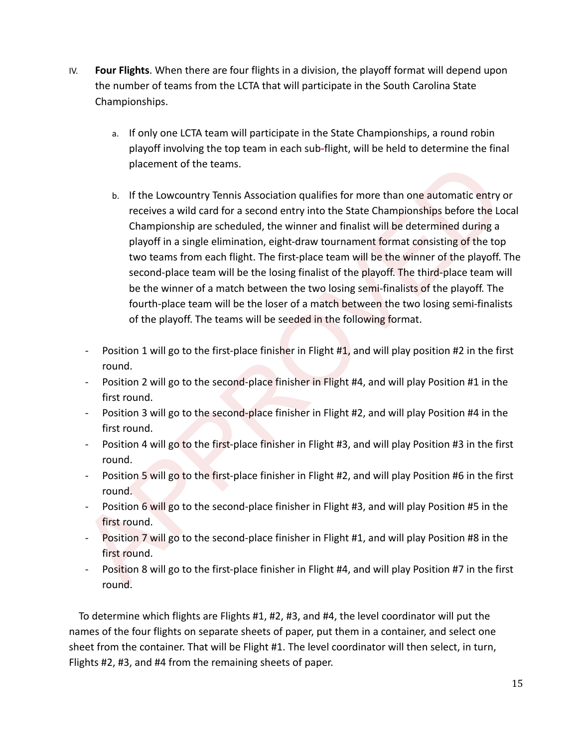- IV. **Four Flights**. When there are four flights in a division, the playoff format will depend upon the number of teams from the LCTA that will participate in the South Carolina State Championships.
	- a. If only one LCTA team will participate in the State Championships, a round robin playoff involving the top team in each sub*-*flight, will be held to determine the final placement of the teams.
	- placement of the teams.<br>
	b. If the Lowcountry Tennis Association qualifies for more than one automatic entry or<br>
	receives a wild card for a second entry into the State Championships before the Local<br>
	championship are sched b. If the Lowcountry Tennis Association qualifies for more than one automatic entry or receives a wild card for a second entry into the State Championships before the Local Championship are scheduled, the winner and finalist will be determined during a playoff in a single elimination, eight-draw tournament format consisting of the top two teams from each flight. The first-place team will be the winner of the playoff. The second-place team will be the losing finalist of the playoff. The third-place team will be the winner of a match between the two losing semi-finalists of the playoff. The fourth-place team will be the loser of a match between the two losing semi-finalists of the playoff. The teams will be seeded in the following format.
		- Position 1 will go to the first-place finisher in Flight #1, and will play position #2 in the first round.
		- Position 2 will go to the second-place finisher in Flight #4, and will play Position #1 in the first round.
		- Position 3 will go to the second-place finisher in Flight #2, and will play Position #4 in the first round.
		- Position 4 will go to the first-place finisher in Flight #3, and will play Position #3 in the first round.
		- Position 5 will go to the first-place finisher in Flight #2, and will play Position #6 in the first round.
		- Position 6 will go to the second-place finisher in Flight #3, and will play Position #5 in the first round.
		- Position 7 will go to the second-place finisher in Flight #1, and will play Position #8 in the first round.
		- Position 8 will go to the first-place finisher in Flight #4, and will play Position #7 in the first round.

To determine which flights are Flights #1, #2, #3, and #4, the level coordinator will put the names of the four flights on separate sheets of paper, put them in a container, and select one sheet from the container. That will be Flight #1. The level coordinator will then select, in turn, Flights #2, #3, and #4 from the remaining sheets of paper.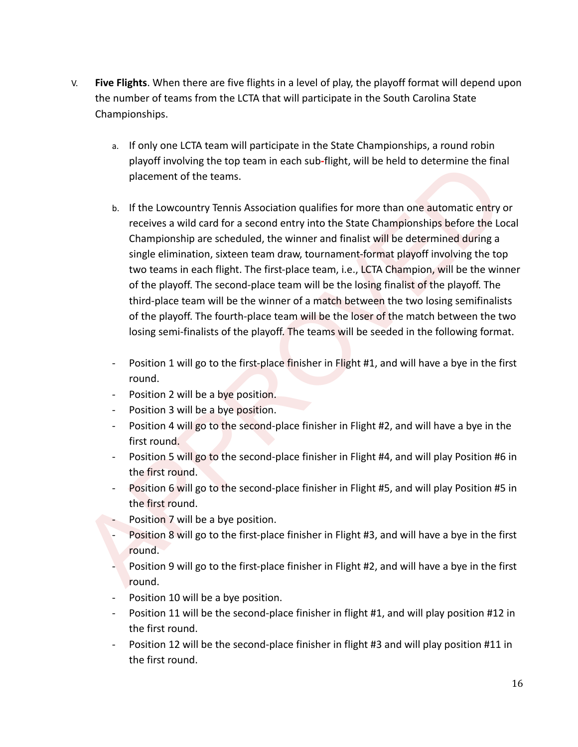- V. **Five Flights**. When there are five flights in a level of play, the playoff format will depend upon the number of teams from the LCTA that will participate in the South Carolina State Championships.
	- a. If only one LCTA team will participate in the State Championships, a round robin playoff involving the top team in each sub*-*flight, will be held to determine the final placement of the teams.
- placement of the teams.<br>
Be the thorough the content of the teams.<br>
I. If the Lowcountry Tennis Association qualifies for more than one automatic entry or<br>
receives a wild card for a second entry into the State Championshi b. If the Lowcountry Tennis Association qualifies for more than one automatic entry or receives a wild card for a second entry into the State Championships before the Local Championship are scheduled, the winner and finalist will be determined during a single elimination, sixteen team draw, tournament-format playoff involving the top two teams in each flight. The first-place team, i.e., LCTA Champion, will be the winner of the playoff. The second-place team will be the losing finalist of the playoff. The third-place team will be the winner of a match between the two losing semifinalists of the playoff. The fourth-place team will be the loser of the match between the two losing semi-finalists of the playoff. The teams will be seeded in the following format.
	- Position 1 will go to the first-place finisher in Flight #1, and will have a bye in the first round.
	- Position 2 will be a bye position.
	- Position 3 will be a bye position.
	- Position 4 will go to the second-place finisher in Flight #2, and will have a bye in the first round.
	- Position 5 will go to the second-place finisher in Flight #4, and will play Position #6 in the first round.
	- Position 6 will go to the second-place finisher in Flight #5, and will play Position #5 in the first round.
	- Position 7 will be a bye position.
	- Position 8 will go to the first-place finisher in Flight #3, and will have a bye in the first round.
	- Position 9 will go to the first-place finisher in Flight #2, and will have a bye in the first round.
	- Position 10 will be a bye position.
	- Position 11 will be the second-place finisher in flight #1, and will play position #12 in the first round.
	- Position 12 will be the second-place finisher in flight #3 and will play position #11 in the first round.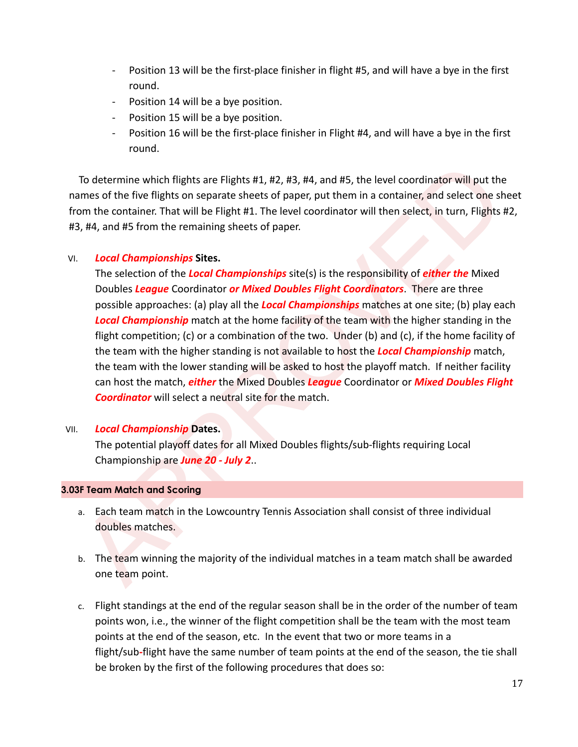- Position 13 will be the first-place finisher in flight #5, and will have a bye in the first round.
- Position 14 will be a bye position.
- Position 15 will be a bye position.
- Position 16 will be the first-place finisher in Flight #4, and will have a bye in the first round.

To determine which flights are Flights #1, #2, #3, #4, and #5, the level coordinator will put the names of the five flights on separate sheets of paper, put them in a container, and select one sheet from the container. That will be Flight #1. The level coordinator will then select, in turn, Flights #2, #3, #4, and #5 from the remaining sheets of paper.

# VI. *Local Championships* **Sites.**

To determine which flights are Flights #1, #2, #3, #4, and #5, the level coordinator will put the<br>ames of the flights on separate sheets of paper, put them in a container, and select one sheet<br>om the container. That will The selection of the *Local Championships* site(s) is the responsibility of *either the* Mixed Doubles *League* Coordinator *or Mixed Doubles Flight Coordinators*. There are three possible approaches: (a) play all the *Local Championships* matches at one site; (b) play each *Local Championship* match at the home facility of the team with the higher standing in the flight competition; (c) or a combination of the two. Under (b) and (c), if the home facility of the team with the higher standing is not available to host the *Local Championship* match, the team with the lower standing will be asked to host the playoff match. If neither facility can host the match, *either* the Mixed Doubles *League* Coordinator or *Mixed Doubles Flight Coordinator* will select a neutral site for the match.

## VII. *Local Championship* **Dates.**

The potential playoff dates for all Mixed Doubles flights/sub-flights requiring Local Championship are *June 20 - July 2*..

## **3.03F Team Match and Scoring**

- a. Each team match in the Lowcountry Tennis Association shall consist of three individual doubles matches.
- b. The team winning the majority of the individual matches in a team match shall be awarded one team point.
- c. Flight standings at the end of the regular season shall be in the order of the number of team points won, i.e., the winner of the flight competition shall be the team with the most team points at the end of the season, etc. In the event that two or more teams in a flight/sub*-*flight have the same number of team points at the end of the season, the tie shall be broken by the first of the following procedures that does so: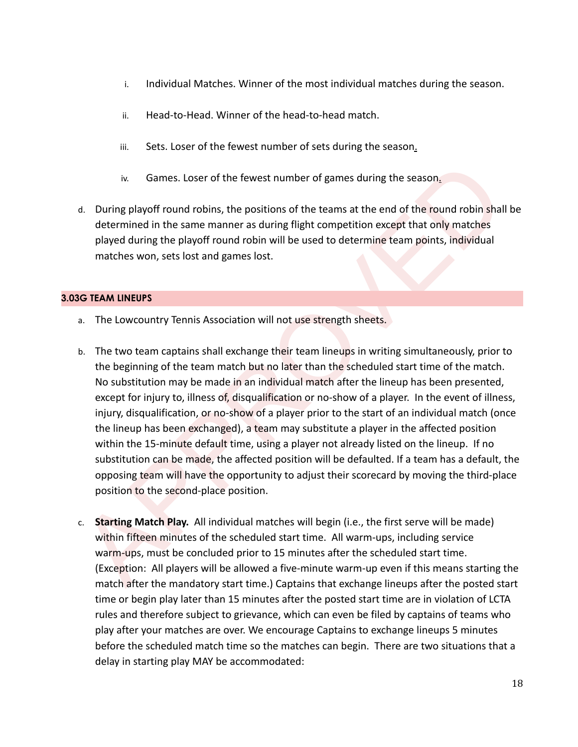- i. Individual Matches. Winner of the most individual matches during the season.
- ii. Head-to-Head. Winner of the head-to-head match.
- iii. Sets. Loser of the fewest number of sets during the season.
- iv. Games. Loser of the fewest number of games during the season.
- d. During playoff round robins, the positions of the teams at the end of the round robin shall be determined in the same manner as during flight competition except that only matches played during the playoff round robin will be used to determine team points, individual matches won, sets lost and games lost.

## **3.03G TEAM LINEUPS**

- a. The Lowcountry Tennis Association will not use strength sheets.
- iv. Games. Loser of the fewest number of games during the season,<br>
1. During playoff round robins, the positions of the teams at the end of the round robin shall be<br>
determined in the same manner as during flight competiti b. The two team captains shall exchange their team lineups in writing simultaneously, prior to the beginning of the team match but no later than the scheduled start time of the match. No substitution may be made in an individual match after the lineup has been presented, except for injury to, illness of, disqualification or no-show of a player. In the event of illness, injury, disqualification, or no-show of a player prior to the start of an individual match (once the lineup has been exchanged), a team may substitute a player in the affected position within the 15-minute default time, using a player not already listed on the lineup. If no substitution can be made, the affected position will be defaulted. If a team has a default, the opposing team will have the opportunity to adjust their scorecard by moving the third-place position to the second-place position.
- c. **Starting Match Play.** All individual matches will begin (i.e., the first serve will be made) within fifteen minutes of the scheduled start time. All warm-ups, including service warm-ups, must be concluded prior to 15 minutes after the scheduled start time. (Exception: All players will be allowed a five-minute warm-up even if this means starting the match after the mandatory start time.) Captains that exchange lineups after the posted start time or begin play later than 15 minutes after the posted start time are in violation of LCTA rules and therefore subject to grievance, which can even be filed by captains of teams who play after your matches are over. We encourage Captains to exchange lineups 5 minutes before the scheduled match time so the matches can begin. There are two situations that a delay in starting play MAY be accommodated: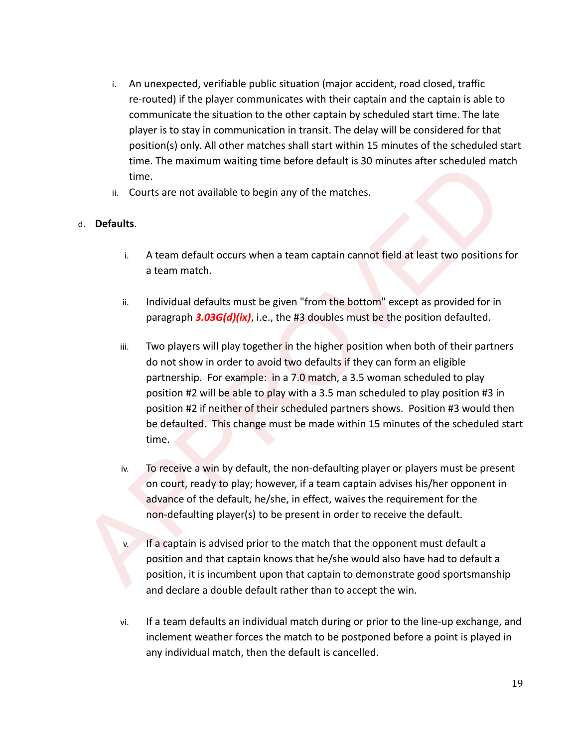- i. An unexpected, verifiable public situation (major accident, road closed, traffic re-routed) if the player communicates with their captain and the captain is able to communicate the situation to the other captain by scheduled start time. The late player is to stay in communication in transit. The delay will be considered for that position(s) only. All other matches shall start within 15 minutes of the scheduled start time. The maximum waiting time before default is 30 minutes after scheduled match time.
- ii. Courts are not available to begin any of the matches.

# d. **Defaults**.

- i. A team default occurs when a team captain cannot field at least two positions for a team match.
- ii. Individual defaults must be given "from the bottom" except as provided for in paragraph *3.03G(d)(ix)*, i.e., the #3 doubles must be the position defaulted.
- time.<br>
Then the maximum walling time decide details as a bumulus after scheduled match<br>
it courts are not available to begin any of the matches.<br>
A. **Learn default occurs** when a team captain cannot field at least two posi iii. Two players will play together in the higher position when both of their partners do not show in order to avoid two defaults if they can form an eligible partnership. For example: in a 7.0 match, a 3.5 woman scheduled to play position #2 will be able to play with a 3.5 man scheduled to play position #3 in position #2 if neither of their scheduled partners shows. Position #3 would then be defaulted. This change must be made within 15 minutes of the scheduled start time.
	- iv. To receive a win by default, the non-defaulting player or players must be present on court, ready to play; however, if a team captain advises his/her opponent in advance of the default, he/she, in effect, waives the requirement for the non-defaulting player(s) to be present in order to receive the default.
		- If a captain is advised prior to the match that the opponent must default a position and that captain knows that he/she would also have had to default a position, it is incumbent upon that captain to demonstrate good sportsmanship and declare a double default rather than to accept the win.
	- vi. If a team defaults an individual match during or prior to the line-up exchange, and inclement weather forces the match to be postponed before a point is played in any individual match, then the default is cancelled.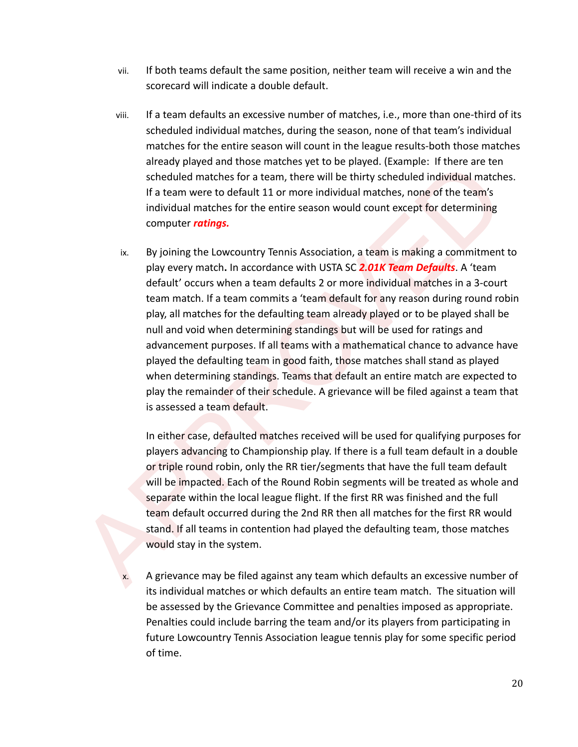- vii. If both teams default the same position, neither team will receive a win and the scorecard will indicate a double default.
- viii. If a team defaults an excessive number of matches, i.e., more than one-third of its scheduled individual matches, during the season, none of that team's individual matches for the entire season will count in the league results-both those matches already played and those matches yet to be played. (Example: If there are ten scheduled matches for a team, there will be thirty scheduled individual matches. If a team were to default 11 or more individual matches, none of the team's individual matches for the entire season would count except for determining computer *ratings.*
- and the method matter of their schedule. The end to the proposition of the method is a propose induction of the sect of the carrier of the carrier of the carrier of the carrier of the carrier of the carrier of the carrier ix. By joining the Lowcountry Tennis Association, a team is making a commitment to play every match**.** In accordance with USTA SC *2.01K Team Defaults*. A 'team default' occurs when a team defaults 2 or more individual matches in a 3-court team match. If a team commits a 'team default for any reason during round robin play, all matches for the defaulting team already played or to be played shall be null and void when determining standings but will be used for ratings and advancement purposes. If all teams with a mathematical chance to advance have played the defaulting team in good faith, those matches shall stand as played when determining standings. Teams that default an entire match are expected to play the remainder of their schedule. A grievance will be filed against a team that is assessed a team default.

In either case, defaulted matches received will be used for qualifying purposes for players advancing to Championship play. If there is a full team default in a double or triple round robin, only the RR tier/segments that have the full team default will be impacted. Each of the Round Robin segments will be treated as whole and separate within the local league flight. If the first RR was finished and the full team default occurred during the 2nd RR then all matches for the first RR would stand. If all teams in contention had played the defaulting team, those matches would stay in the system.

A grievance may be filed against any team which defaults an excessive number of its individual matches or which defaults an entire team match. The situation will be assessed by the Grievance Committee and penalties imposed as appropriate. Penalties could include barring the team and/or its players from participating in future Lowcountry Tennis Association league tennis play for some specific period of time.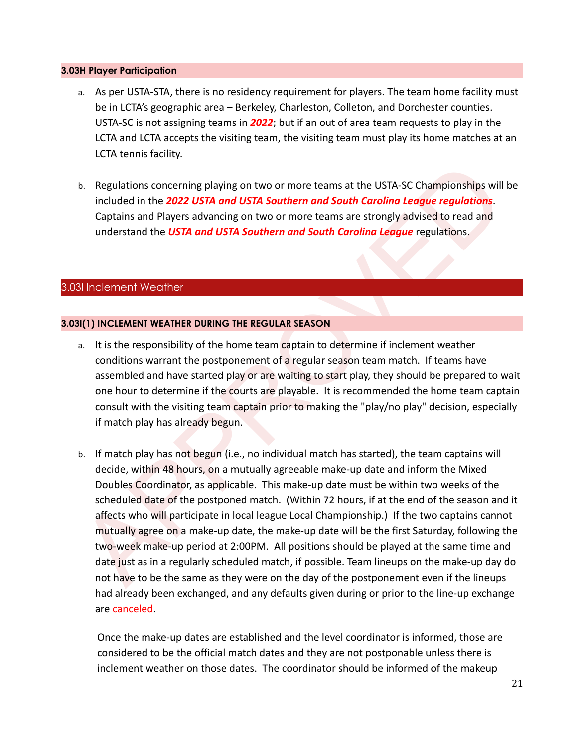#### **3.03H Player Participation**

- a. As per USTA-STA, there is no residency requirement for players. The team home facility must be in LCTA's geographic area – Berkeley, Charleston, Colleton, and Dorchester counties. USTA-SC is not assigning teams in *2022*; but if an out of area team requests to play in the LCTA and LCTA accepts the visiting team, the visiting team must play its home matches at an LCTA tennis facility.
- b. Regulations concerning playing on two or more teams at the USTA-SC Championships will be included in the *2022 USTA and USTA Southern and South Carolina League regulations*. Captains and Players advancing on two or more teams are strongly advised to read and understand the *USTA and USTA Southern and South Carolina League* regulations.

# 3.03I Inclement Weather

# **3.03I(1) INCLEMENT WEATHER DURING THE REGULAR SEASON**

- a. It is the responsibility of the home team captain to determine if inclement weather conditions warrant the postponement of a regular season team match. If teams have assembled and have started play or are waiting to start play, they should be prepared to wait one hour to determine if the courts are playable. It is recommended the home team captain consult with the visiting team captain prior to making the "play/no play" decision, especially if match play has already begun.
- b. Regulations concerning playing on two or more teams at the USTA-SC Championships will be<br>included in the 2022 USTA and USTA Southern and South Carolina League regulations.<br>Captains and Players advancing on two or more t b. If match play has not begun (i.e., no individual match has started), the team captains will decide, within 48 hours, on a mutually agreeable make-up date and inform the Mixed Doubles Coordinator, as applicable. This make-up date must be within two weeks of the scheduled date of the postponed match. (Within 72 hours, if at the end of the season and it affects who will participate in local league Local Championship.) If the two captains cannot mutually agree on a make-up date, the make-up date will be the first Saturday, following the two-week make-up period at 2:00PM. All positions should be played at the same time and date just as in a regularly scheduled match, if possible. Team lineups on the make-up day do not have to be the same as they were on the day of the postponement even if the lineups had already been exchanged, and any defaults given during or prior to the line-up exchange are canceled.

Once the make-up dates are established and the level coordinator is informed, those are considered to be the official match dates and they are not postponable unless there is inclement weather on those dates. The coordinator should be informed of the makeup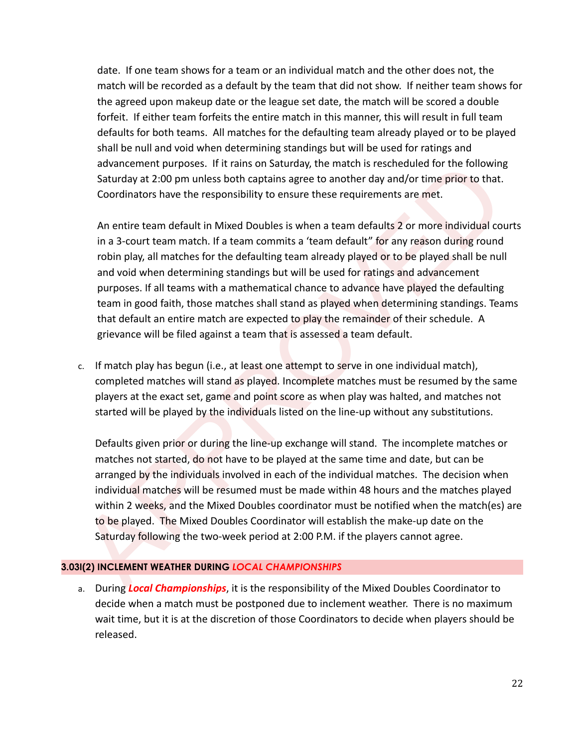date. If one team shows for a team or an individual match and the other does not, the match will be recorded as a default by the team that did not show. If neither team shows for the agreed upon makeup date or the league set date, the match will be scored a double forfeit. If either team forfeits the entire match in this manner, this will result in full team defaults for both teams. All matches for the defaulting team already played or to be played shall be null and void when determining standings but will be used for ratings and advancement purposes. If it rains on Saturday, the match is rescheduled for the following Saturday at 2:00 pm unless both captains agree to another day and/or time prior to that. Coordinators have the responsibility to ensure these requirements are met.

advancement purposes. It it cans so baturday, the match is rescheduled for the lolowing<br>Saturday at 2:00 pm unless both captains agree to another day and/or time prior to the lolowing<br>Coordinators have the responsibility t An entire team default in Mixed Doubles is when a team defaults 2 or more individual courts in a 3-court team match. If a team commits a 'team default" for any reason during round robin play, all matches for the defaulting team already played or to be played shall be null and void when determining standings but will be used for ratings and advancement purposes. If all teams with a mathematical chance to advance have played the defaulting team in good faith, those matches shall stand as played when determining standings. Teams that default an entire match are expected to play the remainder of their schedule. A grievance will be filed against a team that is assessed a team default.

c. If match play has begun (i.e., at least one attempt to serve in one individual match), completed matches will stand as played. Incomplete matches must be resumed by the same players at the exact set, game and point score as when play was halted, and matches not started will be played by the individuals listed on the line-up without any substitutions.

Defaults given prior or during the line-up exchange will stand. The incomplete matches or matches not started, do not have to be played at the same time and date, but can be arranged by the individuals involved in each of the individual matches. The decision when individual matches will be resumed must be made within 48 hours and the matches played within 2 weeks, and the Mixed Doubles coordinator must be notified when the match(es) are to be played. The Mixed Doubles Coordinator will establish the make-up date on the Saturday following the two-week period at 2:00 P.M. if the players cannot agree.

## **3.03I(2) INCLEMENT WEATHER DURING** *LOCAL CHAMPIONSHIPS*

a. During *Local Championships*, it is the responsibility of the Mixed Doubles Coordinator to decide when a match must be postponed due to inclement weather. There is no maximum wait time, but it is at the discretion of those Coordinators to decide when players should be released.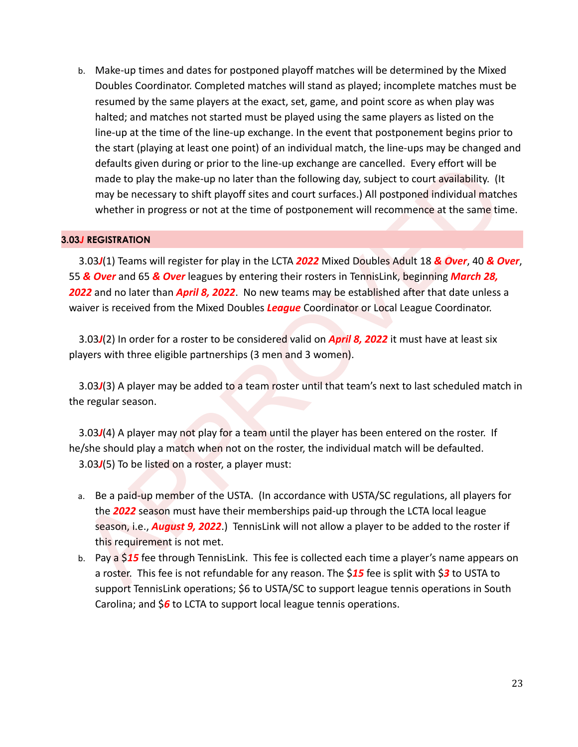b. Make-up times and dates for postponed playoff matches will be determined by the Mixed Doubles Coordinator. Completed matches will stand as played; incomplete matches must be resumed by the same players at the exact, set, game, and point score as when play was halted; and matches not started must be played using the same players as listed on the line-up at the time of the line-up exchange. In the event that postponement begins prior to the start (playing at least one point) of an individual match, the line-ups may be changed and defaults given during or prior to the line-up exchange are cancelled. Every effort will be made to play the make-up no later than the following day, subject to court availability. (It may be necessary to shift playoff sites and court surfaces.) All postponed individual matches whether in progress or not at the time of postponement will recommence at the same time.

#### **3.03***J* **REGISTRATION**

delail's given during or prior to the line-up exchange are cancelled. Every eltor will be<br>made to play the make up no later than the following day, subject to court availability. (It<br>may be necessary to shift playoff sites 3.03*J*(1) Teams will register for play in the LCTA *2022* Mixed Doubles Adult 18 *& Over*, 40 *& Over*, 55 *& Over* and 65 *& Over* leagues by entering their rosters in TennisLink, beginning *March 28, 2022* and no later than *April 8, 2022*. No new teams may be established after that date unless a waiver is received from the Mixed Doubles *League* Coordinator or Local League Coordinator.

3.03*J*(2) In order for a roster to be considered valid on *April 8, 2022* it must have at least six players with three eligible partnerships (3 men and 3 women).

3.03*J*(3) A player may be added to a team roster until that team's next to last scheduled match in the regular season.

3.03*J*(4) A player may not play for a team until the player has been entered on the roster. If he/she should play a match when not on the roster, the individual match will be defaulted. 3.03*J*(5) To be listed on a roster, a player must:

- a. Be a paid-up member of the USTA. (In accordance with USTA/SC regulations, all players for the *2022* season must have their memberships paid-up through the LCTA local league season, i.e., *August 9, 2022*.) TennisLink will not allow a player to be added to the roster if this requirement is not met.
- b. Pay a \$*15* fee through TennisLink. This fee is collected each time a player's name appears on a roster. This fee is not refundable for any reason. The \$*15* fee is split with \$*3* to USTA to support TennisLink operations; \$6 to USTA/SC to support league tennis operations in South Carolina; and \$*6* to LCTA to support local league tennis operations.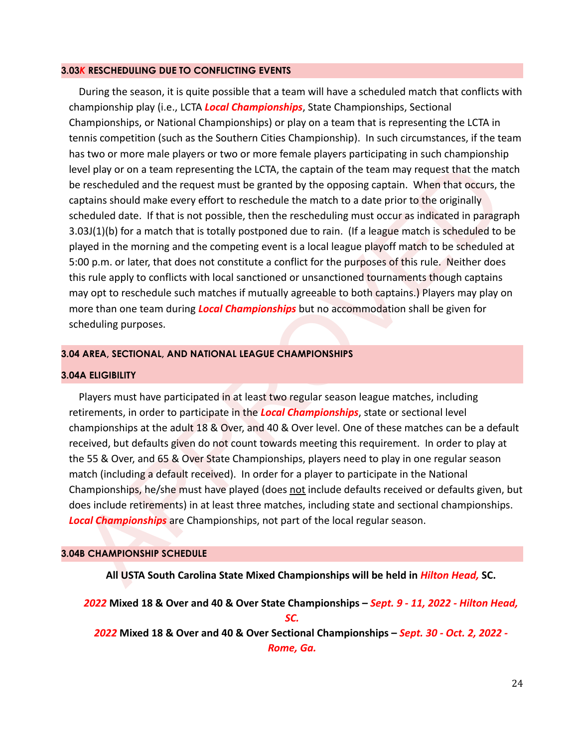#### **3.03***K* **RESCHEDULING DUE TO CONFLICTING EVENTS**

wel play or on a team representing the LCTA, the captain of the team may request that the match<br>e reschedued and the request must be granted by the opposing captain. When that occurs, the<br>phrains should make every effort t During the season, it is quite possible that a team will have a scheduled match that conflicts with championship play (i.e., LCTA *Local Championships*, State Championships, Sectional Championships, or National Championships) or play on a team that is representing the LCTA in tennis competition (such as the Southern Cities Championship). In such circumstances, if the team has two or more male players or two or more female players participating in such championship level play or on a team representing the LCTA, the captain of the team may request that the match be rescheduled and the request must be granted by the opposing captain. When that occurs, the captains should make every effort to reschedule the match to a date prior to the originally scheduled date. If that is not possible, then the rescheduling must occur as indicated in paragraph 3.03J(1)(b) for a match that is totally postponed due to rain. (If a league match is scheduled to be played in the morning and the competing event is a local league playoff match to be scheduled at 5:00 p.m. or later, that does not constitute a conflict for the purposes of this rule. Neither does this rule apply to conflicts with local sanctioned or unsanctioned tournaments though captains may opt to reschedule such matches if mutually agreeable to both captains.) Players may play on more than one team during *Local Championships* but no accommodation shall be given for scheduling purposes.

#### **3.04 AREA, SECTIONAL, AND NATIONAL LEAGUE CHAMPIONSHIPS**

#### **3.04A ELIGIBILITY**

Players must have participated in at least two regular season league matches, including retirements, in order to participate in the *Local Championships*, state or sectional level championships at the adult 18 & Over, and 40 & Over level. One of these matches can be a default received, but defaults given do not count towards meeting this requirement. In order to play at the 55 & Over, and 65 & Over State Championships, players need to play in one regular season match (including a default received). In order for a player to participate in the National Championships, he/she must have played (does not include defaults received or defaults given, but does include retirements) in at least three matches, including state and sectional championships. *Local Championships* are Championships, not part of the local regular season.

#### **3.04B CHAMPIONSHIP SCHEDULE**

**All USTA South Carolina State Mixed Championships will be held in** *Hilton Head,* **SC.**

*2022* **Mixed 18 & Over and 40 & Over State Championships –** *Sept. 9 - 11, 2022 - Hilton Head, SC. 2022* **Mixed 18 & Over and 40 & Over Sectional Championships –** *Sept. 30 - Oct. 2, 2022 - Rome, Ga.*

24